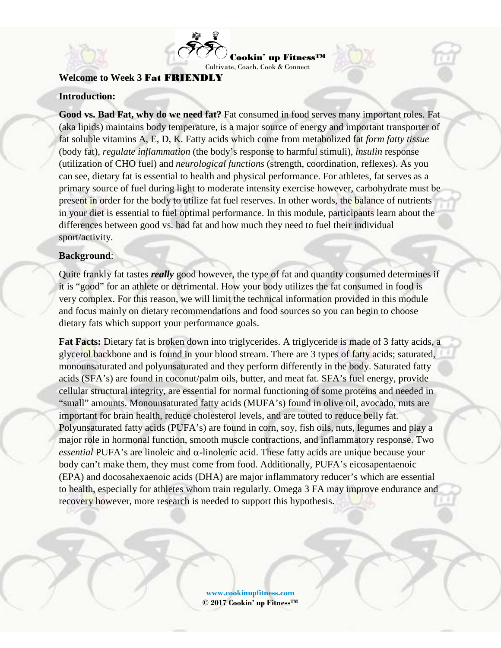



#### **Welcome to Week 3** Fat FRIENDLY

#### **Introduction:**

**Good vs. Bad Fat, why do we need fat?** Fat consumed in food serves many important roles. Fat (aka lipids) maintains body temperature, is a major source of energy and important transporter of fat soluble vitamins A, E, D, K. Fatty acids which come from metabolized fat *form fatty tissue* (body fat), *regulate inflammation* (the body's response to harmful stimuli), *insulin* response (utilization of CHO fuel) and *neurological functions* (strength, coordination, reflexes). As you can see, dietary fat is essential to health and physical performance. For athletes, fat serves as a primary source of fuel during light to moderate intensity exercise however, carbohydrate must be present in order for the body to utilize fat fuel reserves. In other words, the balance of nutrients in your diet is essential to fuel optimal performance. In this module, participants learn about the differences between good vs. bad fat and how much they need to fuel their individual sport/activity.

#### **Background**:

Quite frankly fat tastes *really* good however, the type of fat and quantity consumed determines if it is "good" for an athlete or detrimental. How your body utilizes the fat consumed in food is very complex. For this reason, we will limit the technical information provided in this module and focus mainly on dietary recommendations and food sources so you can begin to choose dietary fats which support your performance goals.

**Fat Facts:** Dietary fat is broken down into triglycerides. A triglyceride is made of 3 fatty acids, a glycerol backbone and is found in your blood stream. There are 3 types of fatty acids; saturated, monounsaturated and polyunsaturated and they perform differently in the body. Saturated fatty acids (SFA's) are found in coconut/palm oils, butter, and meat fat. SFA's fuel energy, provide cellular structural integrity, are essential for normal functioning of some proteins and needed in "small" amounts. Monounsaturated fatty acids (MUFA's) found in olive oil, avocado, nuts are important for brain health, reduce cholesterol levels, and are touted to reduce belly fat. Polyunsaturated fatty acids (PUFA's) are found in corn, soy, fish oils, nuts, legumes and play a major role in hormonal function, smooth muscle contractions, and inflammatory response. Two *essential* PUFA's are linoleic and α**-**linolenic acid. These fatty acids are unique because your body can't make them, they must come from food. Additionally, PUFA's eicosapentaenoic (EPA) and docosahexaenoic acids (DHA) are major inflammatory reducer's which are essential to health, especially for athletes whom train regularly. Omega 3 FA may improve endurance and recovery however, more research is needed to support this hypothesis.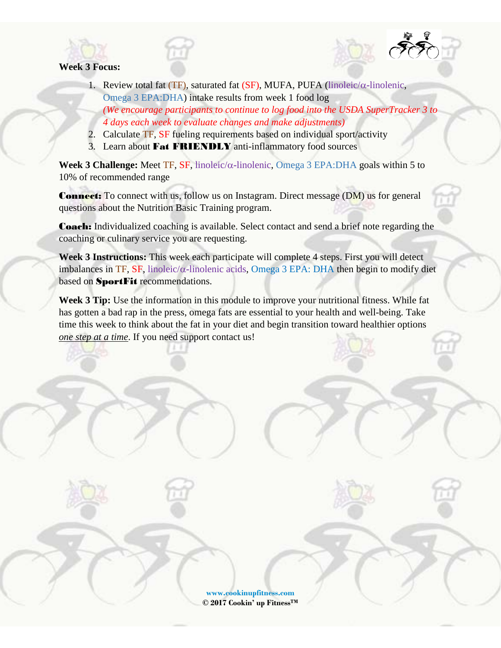

#### **Week 3 Focus:**

- 1. Review total fat (TF), saturated fat (SF), MUFA, PUFA (linoleic/α**-**linolenic, Omega 3 EPA:DHA) intake results from week 1 food log *(We encourage participants to continue to log food into the USDA SuperTracker 3 to 4 days each week to evaluate changes and make adjustments)*
- 2. Calculate TF, SF fueling requirements based on individual sport/activity
- 3. Learn about Fat FRIENDLY anti-inflammatory food sources

**Week 3 Challenge:** Meet TF, SF, linoleic/α**-**linolenic, Omega 3 EPA:DHA goals within 5 to 10% of recommended range

Connect: To connect with us, follow us on Instagram. Direct message (DM) us for general questions about the Nutrition Basic Training program.

Coach: Individualized coaching is available. Select contact and send a brief note regarding the coaching or culinary service you are requesting.

**Week 3 Instructions:** This week each participate will complete 4 steps. First you will detect imbalances in TF, SF, linoleic/α**-**linolenic acids, Omega 3 EPA: DHA then begin to modify diet based on SportFit recommendations.

**Week 3 Tip:** Use the information in this module to improve your nutritional fitness. While fat has gotten a bad rap in the press, omega fats are essential to your health and well-being. Take time this week to think about the fat in your diet and begin transition toward healthier options *one step at a time*. If you need support contact us!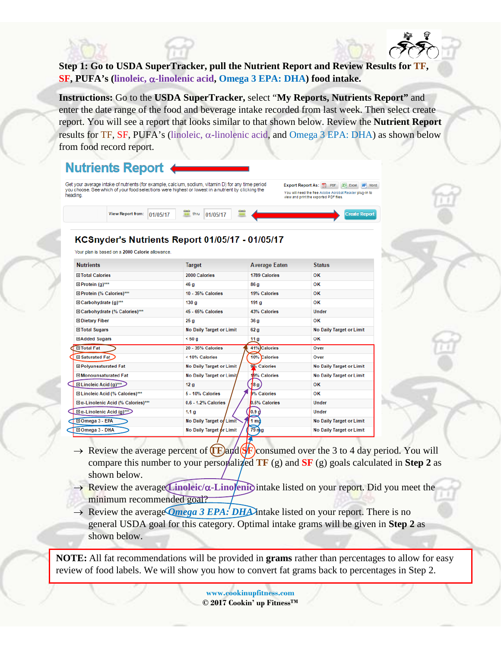# **Step 1: Go to USDA SuperTracker, pull the Nutrient Report and Review Results for TF, SF, PUFA's (linoleic,** α**-linolenic acid, Omega 3 EPA: DHA) food intake.**

**Instructions:** Go to the **USDA SuperTracker,** select "**My Reports, Nutrients Report"** and enter the date range of the food and beverage intake recorded from last week. Then select create report. You will see a report that looks similar to that shown below. Review the **Nutrient Report**  results for TF, SF, PUFA's (linoleic, α**-**linolenic acid, and Omega 3 EPA: DHA) as shown below from food record report.

# **Nutrients Report**



# KCSnyder's Nutrients Report 01/05/17 - 01/05/17

Your plan is based on a 2000 Calorie allowance.

| <b>Nutrients</b>                           | Target                          | <b>Average Eaten</b>            | <b>Status</b>                   |  |
|--------------------------------------------|---------------------------------|---------------------------------|---------------------------------|--|
| <b>⊞ Total Calories</b>                    | 2000 Calories                   | <b>1789 Calories</b>            | OK                              |  |
| $\Box$ Protein (g)***                      | 46 g                            | 86 a                            | OK                              |  |
| El Protein (% Calories)***                 | 10 - 35% Calories               | 19% Calories                    | OK                              |  |
| $\Box$ Carbohydrate (g)***                 | 130 <sub>g</sub>                | 191 <sub>g</sub>                | OK                              |  |
| El Carbohydrate (% Calories)***            | <b>45 - 65% Calories</b>        | 43% Calories                    | <b>Under</b>                    |  |
| <b>Dietary Fiber</b>                       | 25g                             | 36 a                            | OK                              |  |
| <b>□ Total Sugars</b>                      | <b>No Daily Target or Limit</b> | 62 <sub>g</sub>                 | <b>No Daily Target or Limit</b> |  |
| <b>EAdded Sugars</b>                       | < 50a                           | 11 <sub>g</sub>                 | OK                              |  |
| <b>El Total Fat</b>                        | 20 - 35% Calories               | 41% Calories                    | Over                            |  |
| <b>□ Saturated Fat</b>                     | < 10% Calories                  | 10% Calories                    | Over                            |  |
| <b>El Polyunsaturated Fat</b>              | <b>No Daily Target or Limit</b> | 9% Calories                     | <b>No Daily Target or Limit</b> |  |
| <b>El Monounsaturated Fat</b>              | No Daily Target or Limit/       | <b>No Daily Target or Limit</b> |                                 |  |
| El Linoleic Acid (g)***                    | 12 <sub>g</sub>                 | 18 g )                          | OK                              |  |
| El Linoleic Acid (% Calories)***           | 5 - 10% Calories                | <b>1% Calories</b>              | OK                              |  |
| <b>El α-Linolenic Acid (% Calories)***</b> | 0.6 - 1.2% Calories             | <b>0.5% Calories</b>            | <b>Under</b>                    |  |
| $\Box$ a-Linolenic Acid (g)***             | 1.1 <sub>g</sub>                | 0.9g                            | <b>Under</b>                    |  |
| El Omega 3 - EPA                           | No Daily Target of Limit        | 1 md                            | No Daily Target or Limit        |  |
| □ Omega 3 - DHA                            | No Daily Target or Limit        | 79 <sub>mg</sub>                | <b>No Daily Target or Limit</b> |  |

- $\rightarrow$  Review the average percent of  $(\mathbf{F})$ and  $(\mathbf{F})$  consumed over the 3 to 4 day period. You will compare this number to your personalized **TF** (g) and **SF** (g) goals calculated in **Step 2** as shown below.
- → Review the average **Linoleic/**α**-Linolenic** intake listed on your report. Did you meet the minimum recommended goal?
- → Review the average *Qmega 3 EPA: DHA* intake listed on your report. There is no general USDA goal for this category. Optimal intake grams will be given in **Step 2** as shown below.

**NOTE:** All fat recommendations will be provided in **grams** rather than percentages to allow for easy review of food labels. We will show you how to convert fat grams back to percentages in Step 2.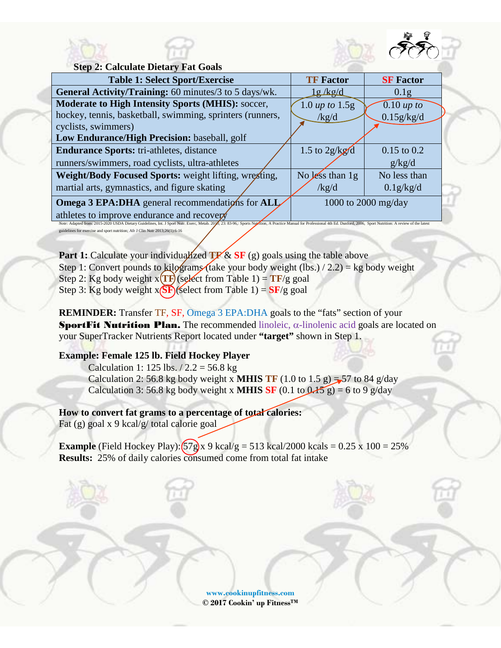



**Step 2: Calculate Dietary Fat Goals**

| <b>Table 1: Select Sport/Exercise</b>                                                                                                                                                                                         | <b>TF Factor</b>                  | <b>SF</b> Factor        |
|-------------------------------------------------------------------------------------------------------------------------------------------------------------------------------------------------------------------------------|-----------------------------------|-------------------------|
| General Activity/Training: 60 minutes/3 to 5 days/wk.                                                                                                                                                                         | <u>lg/kg/d</u>                    | 0.1 <sub>g</sub>        |
| <b>Moderate to High Intensity Sports (MHIS): soccer,</b>                                                                                                                                                                      | $1.0 \text{ up to } 1.5 \text{g}$ | $\overline{0.10}$ up to |
| hockey, tennis, basketball, swimming, sprinters (runners,                                                                                                                                                                     | /kg/d                             | 0.15g/kg/d              |
| cyclists, swimmers)                                                                                                                                                                                                           |                                   |                         |
| Low Endurance/High Precision: baseball, golf                                                                                                                                                                                  |                                   |                         |
| <b>Endurance Sports:</b> tri-athletes, distance                                                                                                                                                                               | 1.5 to $2g/kg/d$                  | $0.15$ to $0.2$         |
| runners/swimmers, road cyclists, ultra-athletes                                                                                                                                                                               |                                   | g/kg/d                  |
| Weight/Body Focused Sports: weight lifting, wregting,                                                                                                                                                                         | No less than $1g$                 | No less than            |
| martial arts, gymnastics, and figure skating                                                                                                                                                                                  | /kg/d                             | 0.1g/kg/d               |
| <b>Omega 3 EPA:DHA</b> general recommendations for ALL                                                                                                                                                                        |                                   | 1000 to 2000 mg/day     |
| athletes to improve endurance and recovery                                                                                                                                                                                    |                                   |                         |
| Note: Adapted from: 2015-2020 USDA Dietary Guidelines, Int. J Sport Nutr. Exerc, Metab. 2016; 23: 83-96,: Sports Nutrition, A Practice Manual for Professional 4th Ed. Dunford, 2006, Sport Nutrition: A review of the latest |                                   |                         |

guidelines for exercise and sport nutrition; Afr J Clin Nutr 2013;26(1):6-16

**Part 1:** Calculate your individualized  $TF \& SF$  (g) goals using the table above Step 1: Convert pounds to kilograms (take your body weight (lbs.) / 2.2) = kg body weight Step 2: Kg body weight  $x(TF)(s)$  (select from Table 1) =  $TF/g$  goal Step 3: Kg body weight  $x(SF)$  (select from Table 1) =  $SF/g$  goal

**REMINDER:** Transfer TF, SF, Omega 3 EPA:DHA goals to the "fats" section of your SportFit Nutrition Plan. The recommended linoleic,  $\alpha$ -linolenic acid goals are located on your SuperTracker Nutrients Report located under **"target"** shown in Step 1.

## **Example: Female 125 lb. Field Hockey Player**

Calculation 1: 125 lbs.  $/ 2.2 = 56.8$  kg Calculation 2: 56.8 kg body weight x **MHIS TF** (1.0 to 1.5 g) = 57 to 84 g/day Calculation 3: 56.8 kg body weight x **MHIS** SF (0.1 to  $0.15$  g) = 6 to 9 g/day

## **How to convert fat grams to a percentage of total calories:**

Fat (g) goal x 9 kcal/g/ total calorie goal

**Example** (Field Hockey Play):  $(57g)x$  9 kcal/g = 513 kcal/2000 kcals = 0.25 x 100 = 25% **Results:** 25% of daily calories consumed come from total fat intake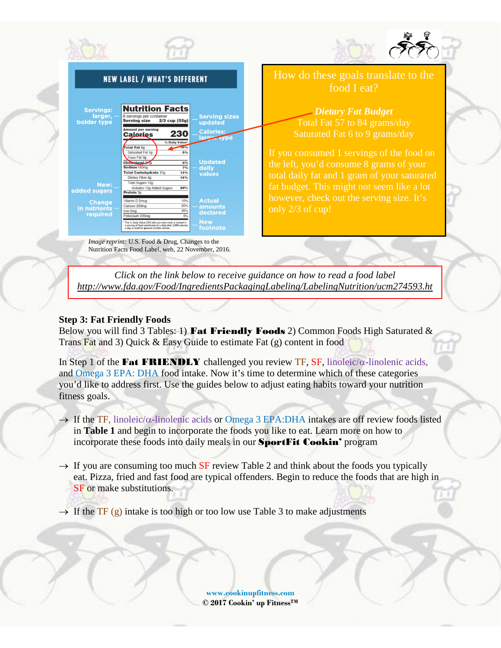

*Click on the link below to receive guidance on how to read a food label http://www.fda.gov/Food/IngredientsPackagingLabeling/LabelingNutrition/ucm274593.ht*

#### **Step 3: Fat Friendly Foods**

Below you will find 3 Tables: 1) Fat Friendly Foods 2) Common Foods High Saturated  $\&$ Trans Fat and 3) Quick & Easy Guide to estimate Fat (g) content in food

In Step 1 of the Fat FRIENDLY challenged you review TF, SF, linoleic/α**-**linolenic acids, and Omega 3 EPA: DHA food intake. Now it's time to determine which of these categories you'd like to address first. Use the guides below to adjust eating habits toward your nutrition fitness goals.

- → If the TF*,* linoleic/α**-**linolenic acids or Omega 3 EPA:DHA intakes are off review foods listed in **Table 1** and begin to incorporate the foods you like to eat. Learn more on how to incorporate these foods into daily meals in our **SportFit Cookin'** program
- $\rightarrow$  If you are consuming too much SF review Table 2 and think about the foods you typically eat. Pizza, fried and fast food are typical offenders. Begin to reduce the foods that are high in SF or make substitutions.

 $\rightarrow$  If the TF (g) intake is too high or too low use Table 3 to make adjustments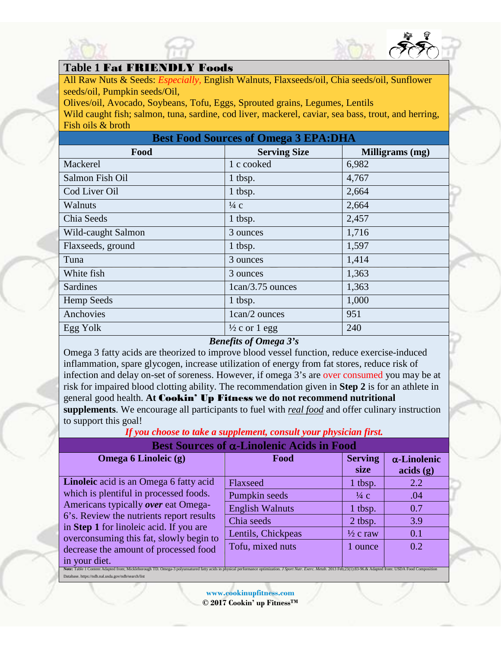



All Raw Nuts & Seeds: *Especially,* English Walnuts, Flaxseeds/oil, Chia seeds/oil, Sunflower seeds/oil, Pumpkin seeds/Oil,

Olives/oil, Avocado, Soybeans, Tofu, Eggs, Sprouted grains, Legumes, Lentils Wild caught fish; salmon, tuna, sardine, cod liver, mackerel, caviar, sea bass, trout, and herring, Fish oils & broth

| <b>Best Food Sources of Omega 3 EPA: DHA</b> |                          |                 |  |
|----------------------------------------------|--------------------------|-----------------|--|
| Food                                         | <b>Serving Size</b>      | Milligrams (mg) |  |
| Mackerel                                     | 1 c cooked               | 6,982           |  |
| Salmon Fish Oil                              | 1 tbsp.                  | 4,767           |  |
| Cod Liver Oil                                | 1 tbsp.                  | 2,664           |  |
| Walnuts                                      | $\frac{1}{4}$ c          | 2,664           |  |
| Chia Seeds                                   | 1 tbsp.                  | 2,457           |  |
| Wild-caught Salmon                           | 3 ounces                 | 1,716           |  |
| Flaxseeds, ground                            | 1 tbsp.                  | 1,597           |  |
| Tuna                                         | 3 ounces                 | 1,414           |  |
| White fish                                   | 3 ounces                 | 1,363           |  |
| <b>Sardines</b>                              | 1 can/3.75 ounces        | 1,363           |  |
| <b>Hemp Seeds</b>                            | 1 tbsp.                  | 1,000           |  |
| Anchovies                                    | 1can/2 ounces            | 951             |  |
| Egg Yolk                                     | $\frac{1}{2}$ c or 1 egg | 240             |  |

## *Benefits of Omega 3's*

Omega 3 fatty acids are theorized to improve blood vessel function, reduce exercise-induced inflammation, spare glycogen, increase utilization of energy from fat stores, reduce risk of infection and delay on-set of soreness. However, if omega 3's are over consumed you may be at risk for impaired blood clotting ability. The recommendation given in **Step 2** is for an athlete in general good health. **At** Cookin' Up Fitness **we do not recommend nutritional supplements**. We encourage all participants to fuel with *real food* and offer culinary instruction to support this goal!

# *If you choose to take a supplement, consult your physician first.*

## **Best Sources of** α**-Linolenic Acids in Food**

| <b>Omega 6 Linoleic (g)</b>                                                                                                                                                                                                                                                                                                                                                                     | Food                   | <b>Serving</b><br>size | $\alpha$ -Linolenic<br>acids(g) |  |
|-------------------------------------------------------------------------------------------------------------------------------------------------------------------------------------------------------------------------------------------------------------------------------------------------------------------------------------------------------------------------------------------------|------------------------|------------------------|---------------------------------|--|
| Linoleic acid is an Omega 6 fatty acid                                                                                                                                                                                                                                                                                                                                                          | Flaxseed               | 1 tbsp.                | 2.2                             |  |
| which is plentiful in processed foods.<br>Americans typically over eat Omega-                                                                                                                                                                                                                                                                                                                   | Pumpkin seeds          | $\frac{1}{4}$ C        | .04                             |  |
|                                                                                                                                                                                                                                                                                                                                                                                                 | <b>English Walnuts</b> | 1 tbsp.                | 0.7                             |  |
|                                                                                                                                                                                                                                                                                                                                                                                                 | Chia seeds             | 2 tbsp.                | 3.9                             |  |
|                                                                                                                                                                                                                                                                                                                                                                                                 | Lentils, Chickpeas     | $\frac{1}{2}$ c raw    | 0.1                             |  |
|                                                                                                                                                                                                                                                                                                                                                                                                 | Tofu, mixed nuts       | 1 ounce                | 0.2                             |  |
| in your diet.                                                                                                                                                                                                                                                                                                                                                                                   |                        |                        |                                 |  |
| 6's. Review the nutrients report results<br>in Step 1 for linoleic acid. If you are<br>overconsuming this fat, slowly begin to<br>decrease the amount of processed food<br>Note: Table 1 Content Adapted from; Mickleborough TD. Omega-3 polyunsatured fatty acids in physical performance optimization. J Sport Nutr. Exerc. Metab. 2013 Feb;23(1):83-96.& Adapted from: USDA Food Composition |                        |                        |                                 |  |

Database. https://ndb.nal.usda.gov/ndb/search/list

**[www.cookinupfitness.com](http://www.cookinupfitness.com/)**

**© 2017 Cookin' up FitnessTM**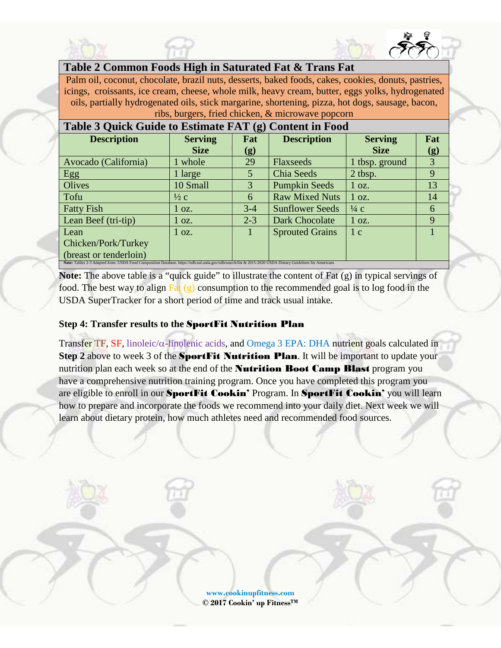

Palm oil, coconut, chocolate, brazil nuts, desserts, baked foods, cakes, cookies, donuts, pastries, icings, croissants, ice cream, cheese, whole milk, heavy cream, butter, eggs yolks, hydrogenated oils, partially hydrogenated oils, stick margarine, shortening, pizza, hot dogs, sausage, bacon, ribs, burgers, fried chicken, & microwave popcorn

| Table 3 Quick Guide to Estimate FAT (g) Content in Food                                                                                                   |                 |         |                        |                 |     |
|-----------------------------------------------------------------------------------------------------------------------------------------------------------|-----------------|---------|------------------------|-----------------|-----|
| <b>Description</b>                                                                                                                                        | <b>Serving</b>  | Fat     | <b>Description</b>     | <b>Serving</b>  | Fat |
|                                                                                                                                                           | <b>Size</b>     | (g)     |                        | <b>Size</b>     | (g) |
| Avocado (California)                                                                                                                                      | 1 whole         | 29      | Flaxseeds              | 1 tbsp. ground  | 3   |
| Egg                                                                                                                                                       | 1 large         | 5       | Chia Seeds             | 2 tbsp.         | 9   |
| Olives                                                                                                                                                    | 10 Small        | 3       | <b>Pumpkin Seeds</b>   | $1 \Omega$ .    | 13  |
| Tofu                                                                                                                                                      | $\frac{1}{2}c$  | 6       | <b>Raw Mixed Nuts</b>  | $1 \Omega$ .    | 14  |
| <b>Fatty Fish</b>                                                                                                                                         | $1 \Omega$ .    | $3-4$   | <b>Sunflower Seeds</b> | $\frac{1}{4}$ C | 6   |
| Lean Beef (tri-tip)                                                                                                                                       | $1 \text{ oz.}$ | $2 - 3$ | Dark Chocolate         | $1 \Omega$ .    | 9   |
| Lean                                                                                                                                                      | $1 \Omega$ .    |         | <b>Sprouted Grains</b> | 1 <sup>c</sup>  |     |
| Chicken/Pork/Turkey                                                                                                                                       |                 |         |                        |                 |     |
| (breast or tenderloin)                                                                                                                                    |                 |         |                        |                 |     |
| Note: Tables 2-3 Adapted from: USDA Food Composition Database. https://ndb.nal.usda.gov/ndb/search/list & 2015-2020 USDA Dietary Guidelines for Americans |                 |         |                        |                 |     |

**Note:** The above table is a "quick guide" to illustrate the content of Fat (g) in typical servings of food. The best way to align  $F_{at}(g)$  consumption to the recommended goal is to log food in the USDA SuperTracker for a short period of time and track usual intake.

### **Step 4: Transfer results to the** SportFit Nutrition Plan

Transfer TF, SF, linoleic/α**-**linolenic acids, and Omega 3 EPA: DHA nutrient goals calculated in **Step 2** above to week 3 of the **SportFit Nutrition Plan**. It will be important to update your nutrition plan each week so at the end of the **Nutrition Boot Camp Blast** program you have a comprehensive nutrition training program. Once you have completed this program you are eligible to enroll in our SportFit Cookin' Program. In SportFit Cookin' you will learn how to prepare and incorporate the foods we recommend into your daily diet. Next week we will learn about dietary protein, how much athletes need and recommended food sources.